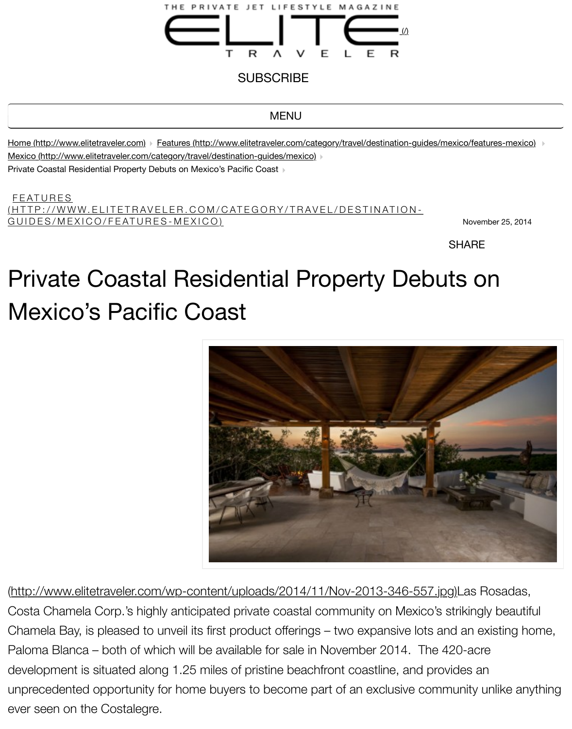Home (http://www.elitetraveler.com) F[eatures \(http://www.elitetraveler.com/category/travel/destination-](http://www.elitetraveler.com/)guides/mexico/fe Mexico (http://www.elitetraveler.com/category/travel/destination-guides/mexico) Private Coastal Residential Property Debuts on Mexico's Pacific Coast

FEATURES (HTTP://WWW.ELITETRAVELER.COM/CATEGORY/TRAVEL/DESTINATION-GUIDES/MEXICO/FEATURES-MEXICO) And the contract of the contract of the contract of the contract of the contract of the contract of the contract of the contract of the contract of the contract of the contract of the contrac

**SHAR** 

## [Private Coastal Residential Pr](http://www.elitetraveler.com/category/travel/destination-guides/mexico)operty Debuts on [Mexico's Pacific Coast](http://www.elitetraveler.com/category/travel/destination-guides/mexico/features-mexico)



(http://www.elitetraveler.com/wp-content/uploads/2014/11/Nov-2013-346-557.jpg)Las Costa Chamela Corp.'s highly anticipated private coastal community on Mexico's striking Chamela Bay, is pleased to unveil its first product offerings  $-$  two expansive lots and an  $\epsilon$ Paloma Blanca – both of which will be available for sale in November 2014. The 420-ac development is situated along 1.25 miles of pristine beachfront coastline, and provides and unprecedented opportunity for home buyers to become part of an exclusive community ever seen on the Costalegre.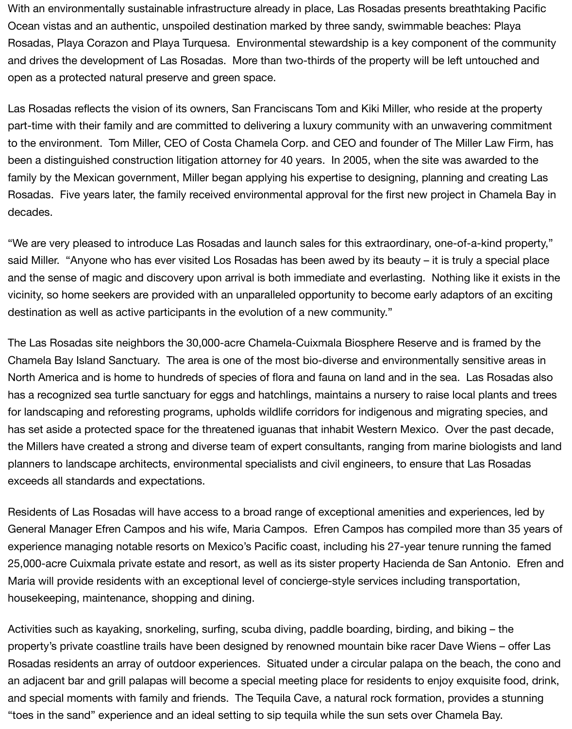With an environmentally sustainable infrastructure already in place, Las Rosadas presents breathtaking Pacific Ocean vistas and an authentic, unspoiled destination marked by three sandy, swimmable beaches: Playa Rosadas, Playa Corazon and Playa Turquesa. Environmental stewardship is a key component of the community and drives the development of Las Rosadas. More than two-thirds of the property will be left untouched and open as a protected natural preserve and green space.

Las Rosadas reflects the vision of its owners, San Franciscans Tom and Kiki Miller, who reside at the property part-time with their family and are committed to delivering a luxury community with an unwavering commitment to the environment. Tom Miller, CEO of Costa Chamela Corp. and CEO and founder of The Miller Law Firm, has been a distinguished construction litigation attorney for 40 years. In 2005, when the site was awarded to the family by the Mexican government, Miller began applying his expertise to designing, planning and creating Las Rosadas. Five years later, the family received environmental approval for the first new project in Chamela Bay in decades.

"We are very pleased to introduce Las Rosadas and launch sales for this extraordinary, one-of-a-kind property," said Miller. "Anyone who has ever visited Los Rosadas has been awed by its beauty – it is truly a special place and the sense of magic and discovery upon arrival is both immediate and everlasting. Nothing like it exists in the vicinity, so home seekers are provided with an unparalleled opportunity to become early adaptors of an exciting destination as well as active participants in the evolution of a new community."

The Las Rosadas site neighbors the 30,000-acre Chamela-Cuixmala Biosphere Reserve and is framed by the Chamela Bay Island Sanctuary. The area is one of the most bio-diverse and environmentally sensitive areas in North America and is home to hundreds of species of flora and fauna on land and in the sea. Las Rosadas also has a recognized sea turtle sanctuary for eggs and hatchlings, maintains a nursery to raise local plants and trees for landscaping and reforesting programs, upholds wildlife corridors for indigenous and migrating species, and has set aside a protected space for the threatened iguanas that inhabit Western Mexico. Over the past decade, the Millers have created a strong and diverse team of expert consultants, ranging from marine biologists and land planners to landscape architects, environmental specialists and civil engineers, to ensure that Las Rosadas exceeds all standards and expectations.

Residents of Las Rosadas will have access to a broad range of exceptional amenities and experiences, led by General Manager Efren Campos and his wife, Maria Campos. Efren Campos has compiled more than 35 years of experience managing notable resorts on Mexico's Pacific coast, including his 27-year tenure running the famed 25,000-acre Cuixmala private estate and resort, as well as its sister property Hacienda de San Antonio. Efren and Maria will provide residents with an exceptional level of concierge-style services including transportation, housekeeping, maintenance, shopping and dining.

Activities such as kayaking, snorkeling, surfing, scuba diving, paddle boarding, birding, and biking – the property's private coastline trails have been designed by renowned mountain bike racer Dave Wiens – offer Las Rosadas residents an array of outdoor experiences. Situated under a circular palapa on the beach, the cono and an adjacent bar and grill palapas will become a special meeting place for residents to enjoy exquisite food, drink, and special moments with family and friends. The Tequila Cave, a natural rock formation, provides a stunning "toes in the sand" experience and an ideal setting to sip tequila while the sun sets over Chamela Bay.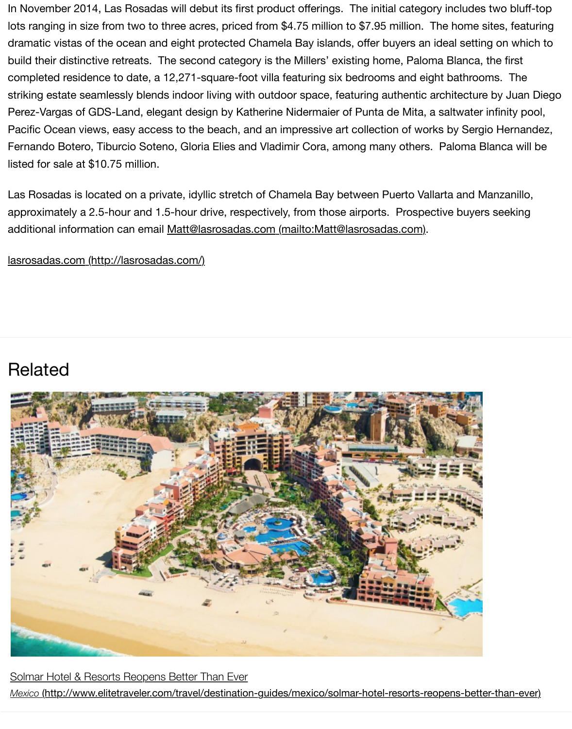Perez-Vargas of GDS-Land, elegant design by Katherine Nidermaier of Punta de Mita, a saltwate Pacific Ocean views, easy access to the beach, and an impressive art collection of works by Ser Fernando Botero, Tiburcio Soteno, Gloria Elies and Vladimir Cora, among many others. Paloma listed for sale at \$10.75 million.

Las Rosadas is located on a private, idyllic stretch of Chamela Bay between Puerto Vallarta and approximately a 2.5-hour and 1.5-hour drive, respectively, from those airports. Prospective buye additional information can email Matt@lasrosadas.com (mailto:Matt@lasrosadas.com).

lasrosadas.com (http://lasrosadas.com/)

## [Related](http://lasrosadas.com/)



Solmar Hotel & Resorts Reopens Better Than Ever *Mexico* (http://www.elitetraveler.com/travel/destination-guides/mexico/solmar-hotel-resorts-reopens-bet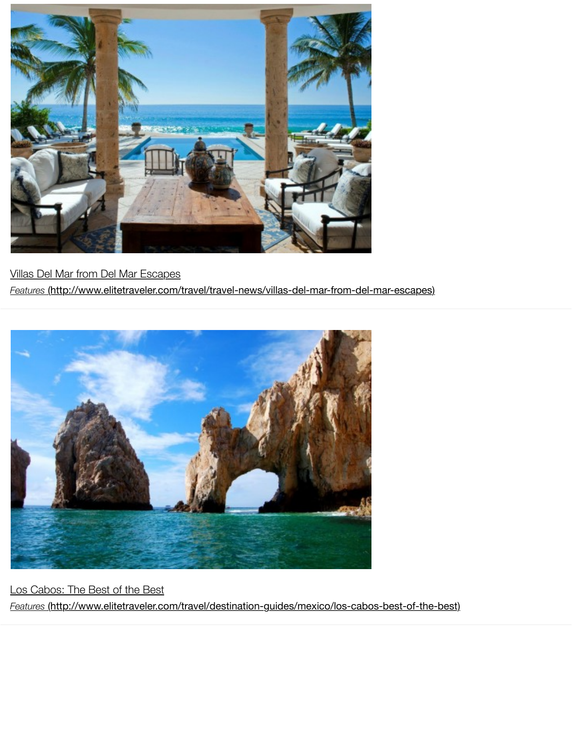

Villas Del Mar from Del Mar Escapes *Features* [\(http://www.elitetraveler.com/travel/travel-news/villas-del-mar-from-del-mar-escapes\)](http://www.elitetraveler.com/travel/travel-news/villas-del-mar-from-del-mar-escapes)



Los Cabos: The Best of the Best *Features* [\(http://www.elitetraveler.com/travel/destination-guides/mexico/los-cabos-best-of-the-best\)](http://www.elitetraveler.com/travel/destination-guides/mexico/los-cabos-best-of-the-best)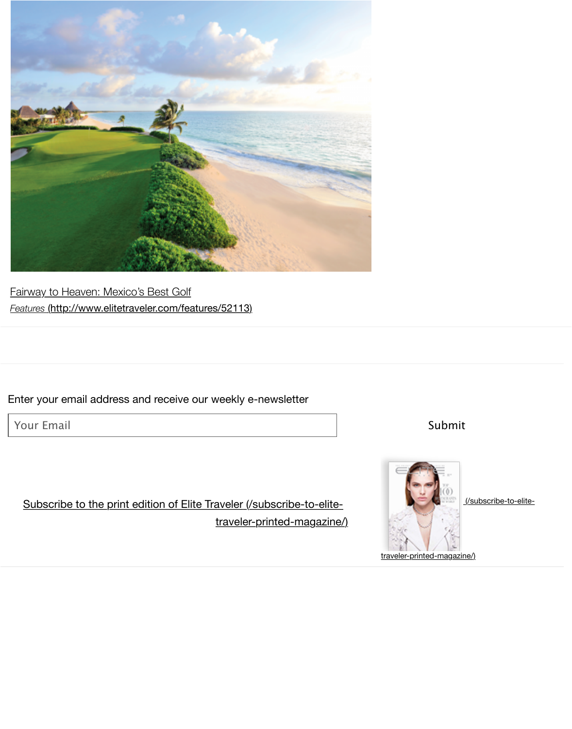

Fairway to Heaven: Mexico's Best Golf *Features* (http://www.elitetraveler.com/features/52113)

### [Enter your email address and receive our weekly e-newsletter](http://www.elitetraveler.com/features/52113)

Your Email

## Subscribe to the print edition of Elite Traveler (/subscribe-to-elitetraveler-printed-magazine/)



Submit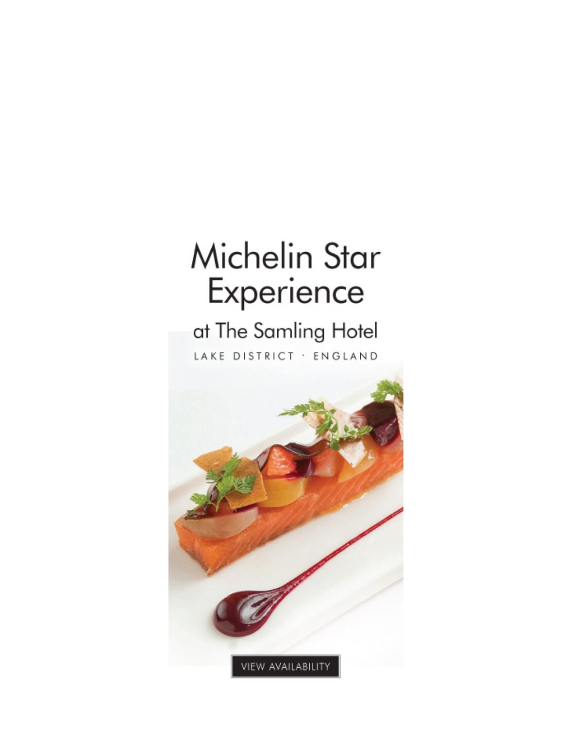# **Michelin Star** Experience

## at The Samling Hotel

LAKE DISTRICT · ENGLAND

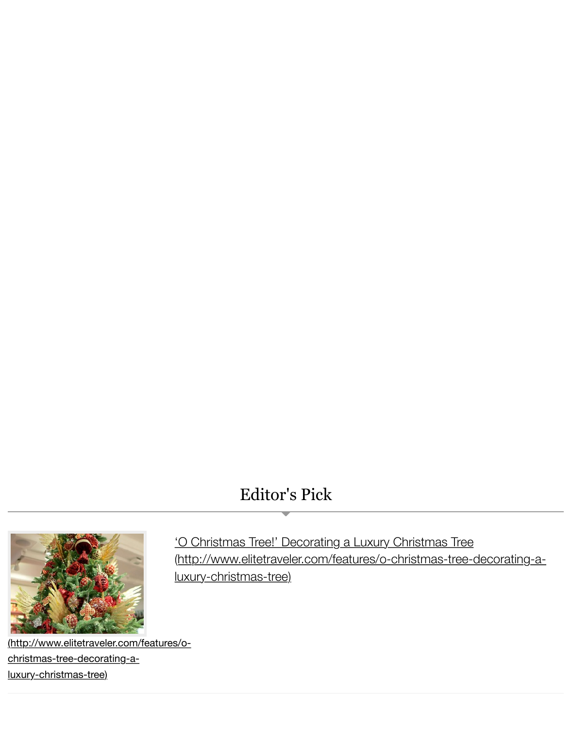## Editor's Pick



'O Christmas Tree!' Decorating a Luxury Christmas Tree (http://www.elitetraveler.com/features/o-christmas-tree-d luxury-christmas-tree)

[\(http://www.elitetraveler.com/features/o](http://www.elitetraveler.com/features/o-christmas-tree-decorating-a-luxury-christmas-tree)christmas-tree-decorating-aluxury-christmas-tree)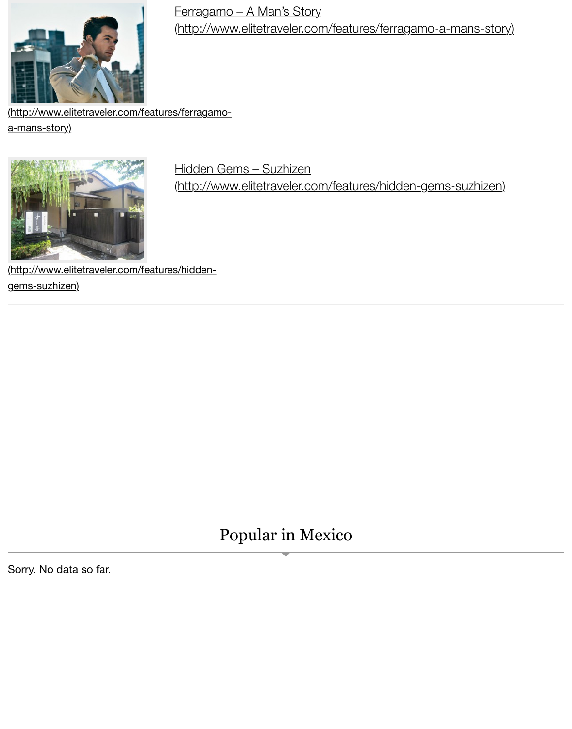[\(http://www.elitetraveler.com/features/ferragamo-](http://www.elitetraveler.com/features/ferragamo-a-mans-story)

a-mans-story)



### Hidden Gems – Suzhizen

(http://www.elitetraveler.com/features/hidden-gems-suzh

[\(http://www.elitetraveler.com/features/hidden](http://www.elitetraveler.com/features/hidden-gems-suzhizen)gems-suzhizen)

## Popular in Mexico

Sorry. No data so far.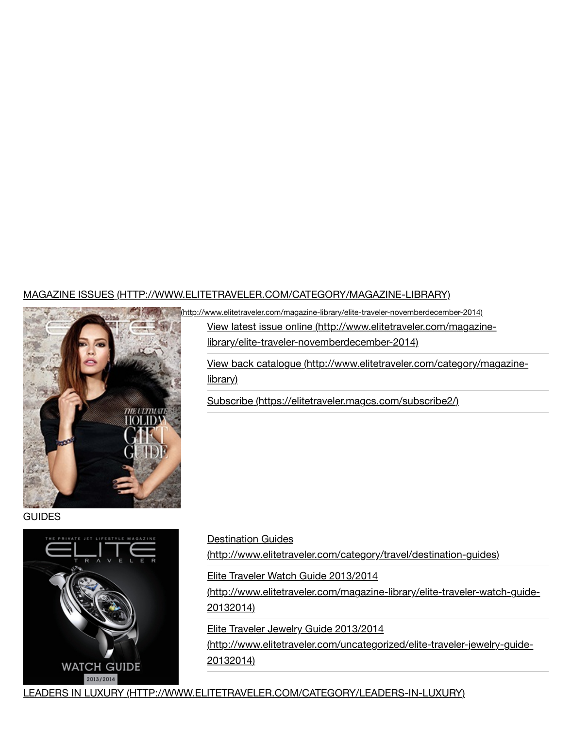#### MAGAZINE ISSUES (HTTP://WWW.ELITETRAVELER.COM/CATEGORY/MAGAZINE-LIBRARY)



(http://www.elitetraveler.com/magazine-library/elite-traveler-novemberdecember-2014)

View latest issue online (http://www.elitetraveler.com/magazi library/elite-traveler-novemberdecember-2014)

View back catalogue (http://www.elitetraveler.com/category/ library)

[Subscribe \(https://elitetraveler.magcs.com/subscribe2](http://www.elitetraveler.com/category/magazine-library)/)

**GUIDES** 



Destination Guides

(http://www.elitetraveler.com/category/travel/destination-gui

Elite Traveler Watch Guide 2013/2014

(http://www.elitetraveler.com/magazine-library/elite-traveler-20132014)

Elite Traveler Jewelry Guide 2013/2014

(http://www.elitetraveler.com/uncategorized/elite-traveler-jev 20132014)

LEADERS IN LUXURY (HTTP://WWW.E[LITETRAVELER.COM/CATEGORY/LEADERS-IN-LUXURY\)](http://www.elitetraveler.com/magazine-library/elite-traveler-watch-guide-20132014)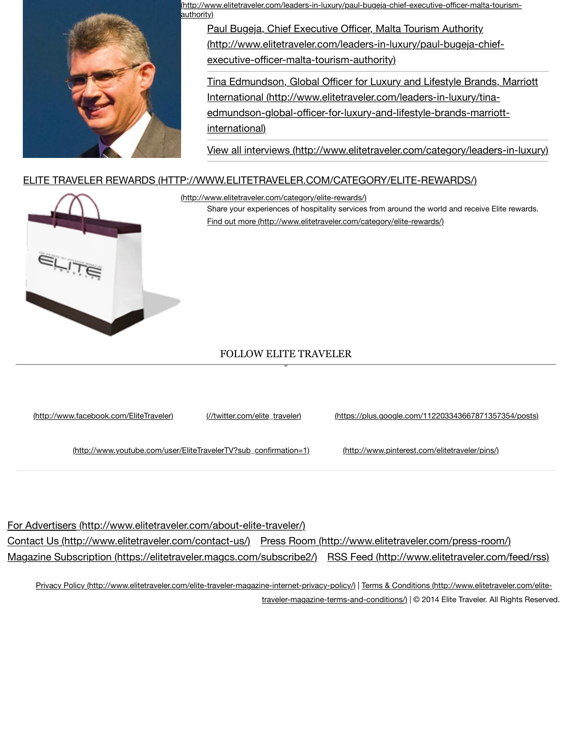

edmundson-global-officer-for-luxury-and-lifestyle-brands-m international)

View all interviews (http://www.elitetraveler.com/category/lead

#### [ELITE TRAVELER REWARDS \(HTTP://WWW.ELITETRAVELER.COM/CATEGORY/ELITE-REWARDS/\)](http://www.elitetraveler.com/leaders-in-luxury/paul-bugeja-chief-executive-officer-malta-tourism-authority)



Share your experiences of hospitality services from around the world and rece Find out more (http://www.elitetraveler.com/category/elite-rewards/) (http://www.elitetraveler.com/category/elite-rewards/)

#### [FOLLOW ELITE TRAVELER](http://www.elitetraveler.com/category/elite-rewards/)

(http://www.facebook.com/EliteTraveler) (//twitter.com/elite\_traveler) (https://plus.google.com/1122033436678

(http://www.youtube.com/user/EliteTravelerTV?sub\_confirmation=1) (http://www.pinterest.com/elitetraveler/

F[or Advertisers \(http://www.elitetraveler.](http://www.facebook.com/EliteTraveler)[com/about-elite-traveler/\)](http://twitter.com/elite_traveler) Contact Us (http://www.elitetraveler.com/contact-us/) Press Room (http://www.elitetraveler.com/press-Magazine [Subscription \(https://elitetraveler.magcs.com/subscribe2/\)](http://www.youtube.com/user/EliteTravelerTV?sub_confirmation=1) RSS Feed (http://www.elitetraveler.com/subscribe2

Privacy Policy (http://www.elitetraveler.com/elite-traveler-magazine-internet-privacy-policy/) | Terms & Conditions (http://www.e traveler-magazine-terms-and-conditions/) | © 2014 Elite Travel